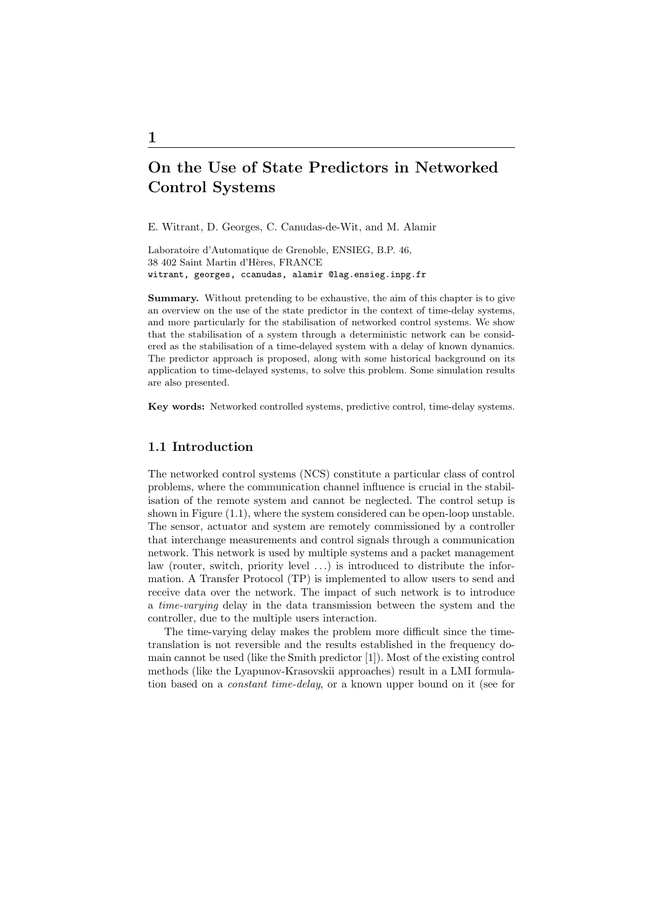## On the Use of State Predictors in Networked Control Systems

E. Witrant, D. Georges, C. Canudas-de-Wit, and M. Alamir

Laboratoire d'Automatique de Grenoble, ENSIEG, B.P. 46, 38 402 Saint Martin d'H`eres, FRANCE witrant, georges, ccanudas, alamir @lag.ensieg.inpg.fr

Summary. Without pretending to be exhaustive, the aim of this chapter is to give an overview on the use of the state predictor in the context of time-delay systems, and more particularly for the stabilisation of networked control systems. We show that the stabilisation of a system through a deterministic network can be considered as the stabilisation of a time-delayed system with a delay of known dynamics. The predictor approach is proposed, along with some historical background on its application to time-delayed systems, to solve this problem. Some simulation results are also presented.

Key words: Networked controlled systems, predictive control, time-delay systems.

#### 1.1 Introduction

The networked control systems (NCS) constitute a particular class of control problems, where the communication channel influence is crucial in the stabilisation of the remote system and cannot be neglected. The control setup is shown in Figure (1.1), where the system considered can be open-loop unstable. The sensor, actuator and system are remotely commissioned by a controller that interchange measurements and control signals through a communication network. This network is used by multiple systems and a packet management law (router, switch, priority level  $\ldots$ ) is introduced to distribute the information. A Transfer Protocol (TP) is implemented to allow users to send and receive data over the network. The impact of such network is to introduce a time-varying delay in the data transmission between the system and the controller, due to the multiple users interaction.

The time-varying delay makes the problem more difficult since the timetranslation is not reversible and the results established in the frequency domain cannot be used (like the Smith predictor [1]). Most of the existing control methods (like the Lyapunov-Krasovskii approaches) result in a LMI formulation based on a *constant time-delay*, or a known upper bound on it (see for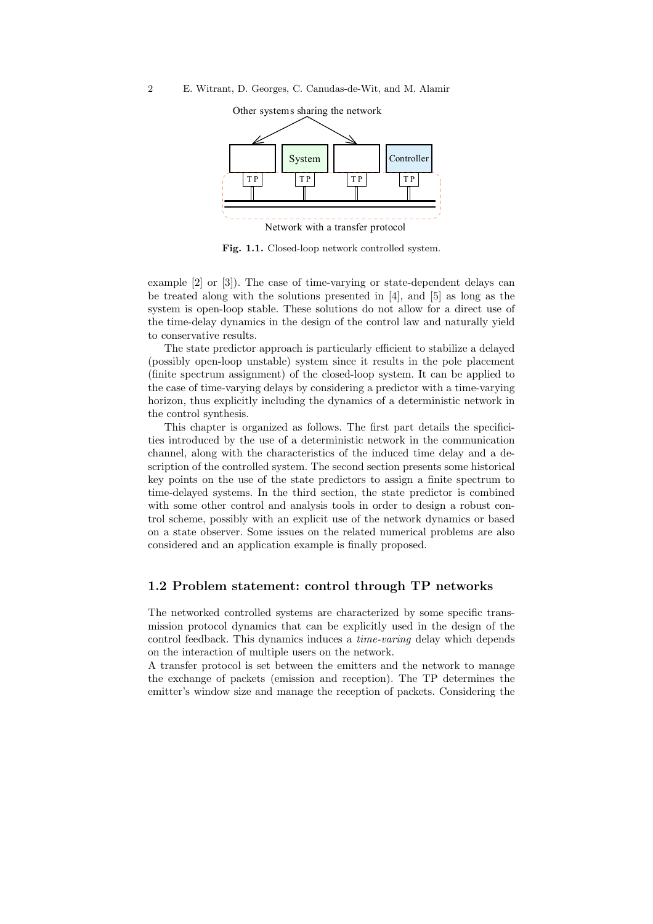

Fig. 1.1. Closed-loop network controlled system.

example [2] or [3]). The case of time-varying or state-dependent delays can be treated along with the solutions presented in [4], and [5] as long as the system is open-loop stable. These solutions do not allow for a direct use of the time-delay dynamics in the design of the control law and naturally yield to conservative results.

The state predictor approach is particularly efficient to stabilize a delayed (possibly open-loop unstable) system since it results in the pole placement (finite spectrum assignment) of the closed-loop system. It can be applied to the case of time-varying delays by considering a predictor with a time-varying horizon, thus explicitly including the dynamics of a deterministic network in the control synthesis.

This chapter is organized as follows. The first part details the specificities introduced by the use of a deterministic network in the communication channel, along with the characteristics of the induced time delay and a description of the controlled system. The second section presents some historical key points on the use of the state predictors to assign a finite spectrum to time-delayed systems. In the third section, the state predictor is combined with some other control and analysis tools in order to design a robust control scheme, possibly with an explicit use of the network dynamics or based on a state observer. Some issues on the related numerical problems are also considered and an application example is finally proposed.

#### 1.2 Problem statement: control through TP networks

The networked controlled systems are characterized by some specific transmission protocol dynamics that can be explicitly used in the design of the control feedback. This dynamics induces a time-varing delay which depends on the interaction of multiple users on the network.

A transfer protocol is set between the emitters and the network to manage the exchange of packets (emission and reception). The TP determines the emitter's window size and manage the reception of packets. Considering the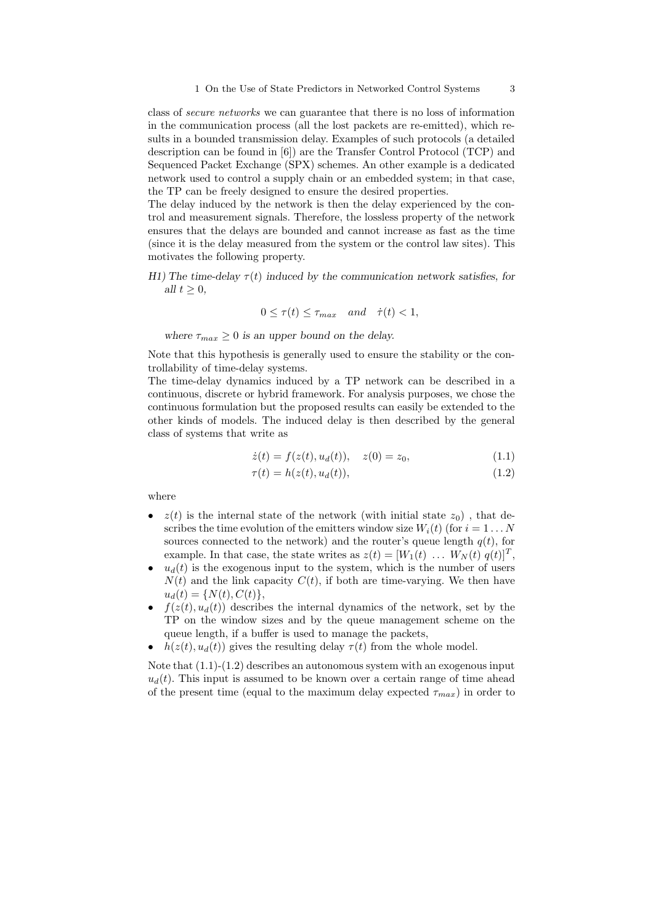class of secure networks we can guarantee that there is no loss of information in the communication process (all the lost packets are re-emitted), which results in a bounded transmission delay. Examples of such protocols (a detailed description can be found in [6]) are the Transfer Control Protocol (TCP) and Sequenced Packet Exchange (SPX) schemes. An other example is a dedicated network used to control a supply chain or an embedded system; in that case, the TP can be freely designed to ensure the desired properties.

The delay induced by the network is then the delay experienced by the control and measurement signals. Therefore, the lossless property of the network ensures that the delays are bounded and cannot increase as fast as the time (since it is the delay measured from the system or the control law sites). This motivates the following property.

H1) The time-delay  $\tau(t)$  induced by the communication network satisfies, for all  $t > 0$ ,

$$
0 \le \tau(t) \le \tau_{max} \quad and \quad \dot{\tau}(t) < 1,
$$

where  $\tau_{max} \geq 0$  is an upper bound on the delay.

Note that this hypothesis is generally used to ensure the stability or the controllability of time-delay systems.

The time-delay dynamics induced by a TP network can be described in a continuous, discrete or hybrid framework. For analysis purposes, we chose the continuous formulation but the proposed results can easily be extended to the other kinds of models. The induced delay is then described by the general class of systems that write as

$$
\dot{z}(t) = f(z(t), u_d(t)), \quad z(0) = z_0,\tag{1.1}
$$

$$
\tau(t) = h(z(t), u_d(t)),\tag{1.2}
$$

where

- $z(t)$  is the internal state of the network (with initial state  $z_0$ ), that describes the time evolution of the emitters window size  $W_i(t)$  (for  $i = 1...N$ sources connected to the network) and the router's queue length  $q(t)$ , for example. In that case, the state writes as  $z(t) = [W_1(t) \dots W_N(t) q(t)]^T$ ,
- $u_d(t)$  is the exogenous input to the system, which is the number of users  $N(t)$  and the link capacity  $C(t)$ , if both are time-varying. We then have  $u_d(t) = \{N(t), C(t)\},\,$
- $f(z(t), u_d(t))$  describes the internal dynamics of the network, set by the TP on the window sizes and by the queue management scheme on the queue length, if a buffer is used to manage the packets,
- $h(z(t), u_d(t))$  gives the resulting delay  $\tau(t)$  from the whole model.

Note that  $(1.1)-(1.2)$  describes an autonomous system with an exogenous input  $u_d(t)$ . This input is assumed to be known over a certain range of time ahead of the present time (equal to the maximum delay expected  $\tau_{max}$ ) in order to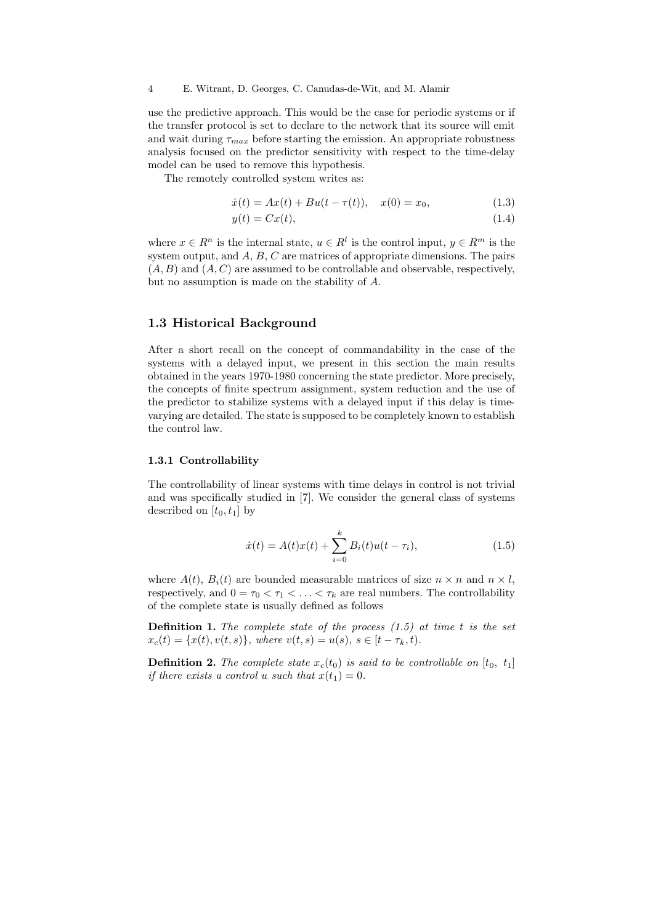use the predictive approach. This would be the case for periodic systems or if the transfer protocol is set to declare to the network that its source will emit and wait during  $\tau_{max}$  before starting the emission. An appropriate robustness analysis focused on the predictor sensitivity with respect to the time-delay model can be used to remove this hypothesis.

The remotely controlled system writes as:

$$
\dot{x}(t) = Ax(t) + Bu(t - \tau(t)), \quad x(0) = x_0,\tag{1.3}
$$

$$
y(t) = Cx(t),\tag{1.4}
$$

where  $x \in R^n$  is the internal state,  $u \in R^l$  is the control input,  $y \in R^m$  is the system output, and A, B, C are matrices of appropriate dimensions. The pairs  $(A, B)$  and  $(A, C)$  are assumed to be controllable and observable, respectively, but no assumption is made on the stability of A.

#### 1.3 Historical Background

After a short recall on the concept of commandability in the case of the systems with a delayed input, we present in this section the main results obtained in the years 1970-1980 concerning the state predictor. More precisely, the concepts of finite spectrum assignment, system reduction and the use of the predictor to stabilize systems with a delayed input if this delay is timevarying are detailed. The state is supposed to be completely known to establish the control law.

#### 1.3.1 Controllability

The controllability of linear systems with time delays in control is not trivial and was specifically studied in [7]. We consider the general class of systems described on  $[t_0, t_1]$  by

$$
\dot{x}(t) = A(t)x(t) + \sum_{i=0}^{k} B_i(t)u(t - \tau_i),
$$
\n(1.5)

where  $A(t)$ ,  $B_i(t)$  are bounded measurable matrices of size  $n \times n$  and  $n \times l$ , respectively, and  $0 = \tau_0 < \tau_1 < \ldots < \tau_k$  are real numbers. The controllability of the complete state is usually defined as follows

**Definition 1.** The complete state of the process  $(1.5)$  at time t is the set  $x_c(t) = \{x(t), v(t, s)\},$  where  $v(t, s) = u(s), s \in [t - \tau_k, t).$ 

**Definition 2.** The complete state  $x_c(t_0)$  is said to be controllable on  $[t_0, t_1]$ if there exists a control u such that  $x(t_1) = 0$ .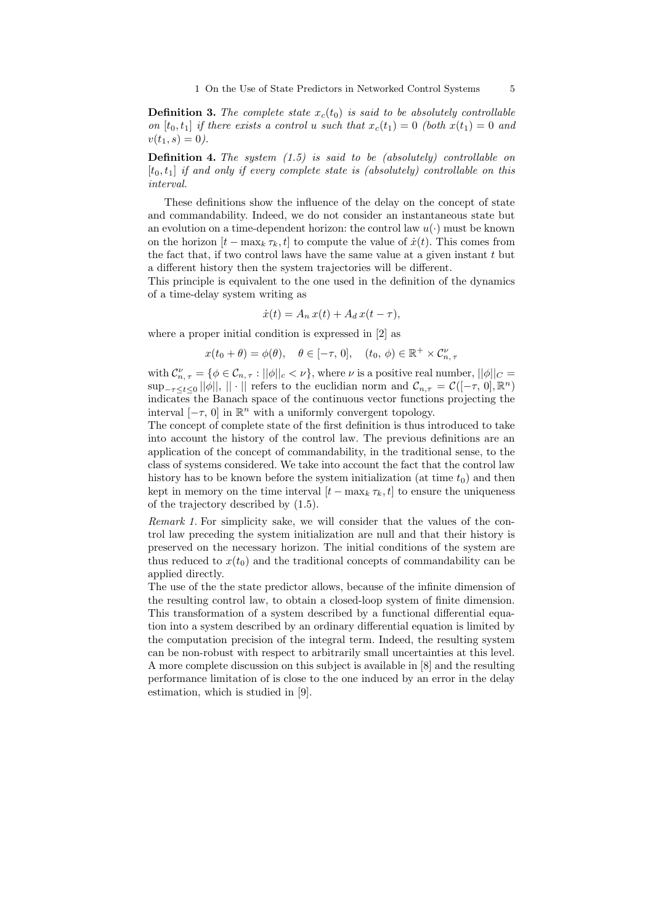**Definition 3.** The complete state  $x_c(t_0)$  is said to be absolutely controllable on  $[t_0,t_1]$  if there exists a control u such that  $x_c(t_1) = 0$  (both  $x(t_1) = 0$  and  $v(t_1, s) = 0$ ).

**Definition 4.** The system  $(1.5)$  is said to be (absolutely) controllable on  $[t_0,t_1]$  if and only if every complete state is (absolutely) controllable on this interval.

These definitions show the influence of the delay on the concept of state and commandability. Indeed, we do not consider an instantaneous state but an evolution on a time-dependent horizon: the control law  $u(\cdot)$  must be known on the horizon  $[t - \max_k \tau_k, t]$  to compute the value of  $\dot{x}(t)$ . This comes from the fact that, if two control laws have the same value at a given instant  $t$  but a different history then the system trajectories will be different.

This principle is equivalent to the one used in the definition of the dynamics of a time-delay system writing as

$$
\dot{x}(t) = A_n x(t) + A_d x(t - \tau),
$$

where a proper initial condition is expressed in [2] as

$$
x(t_0 + \theta) = \phi(\theta), \quad \theta \in [-\tau, 0], \quad (t_0, \phi) \in \mathbb{R}^+ \times C_{n, \tau}^{\nu}
$$

with  $\mathcal{C}_{n,\tau}^{\nu} = \{\phi \in \mathcal{C}_{n,\tau}: ||\phi||_{c} < \nu\}$ , where  $\nu$  is a positive real number,  $||\phi||_{C} =$  $\sup_{-\tau \leq t \leq 0} ||\phi||, || \cdot ||$  refers to the euclidian norm and  $\mathcal{C}_{n,\tau} = \mathcal{C}([-\tau,0],\mathbb{R}^n)$ indicates the Banach space of the continuous vector functions projecting the interval  $[-\tau, 0]$  in  $\mathbb{R}^n$  with a uniformly convergent topology.

The concept of complete state of the first definition is thus introduced to take into account the history of the control law. The previous definitions are an application of the concept of commandability, in the traditional sense, to the class of systems considered. We take into account the fact that the control law history has to be known before the system initialization (at time  $t_0$ ) and then kept in memory on the time interval  $[t - \max_k \tau_k, t]$  to ensure the uniqueness of the trajectory described by (1.5).

Remark 1. For simplicity sake, we will consider that the values of the control law preceding the system initialization are null and that their history is preserved on the necessary horizon. The initial conditions of the system are thus reduced to  $x(t_0)$  and the traditional concepts of commandability can be applied directly.

The use of the the state predictor allows, because of the infinite dimension of the resulting control law, to obtain a closed-loop system of finite dimension. This transformation of a system described by a functional differential equation into a system described by an ordinary differential equation is limited by the computation precision of the integral term. Indeed, the resulting system can be non-robust with respect to arbitrarily small uncertainties at this level. A more complete discussion on this subject is available in [8] and the resulting performance limitation of is close to the one induced by an error in the delay estimation, which is studied in [9].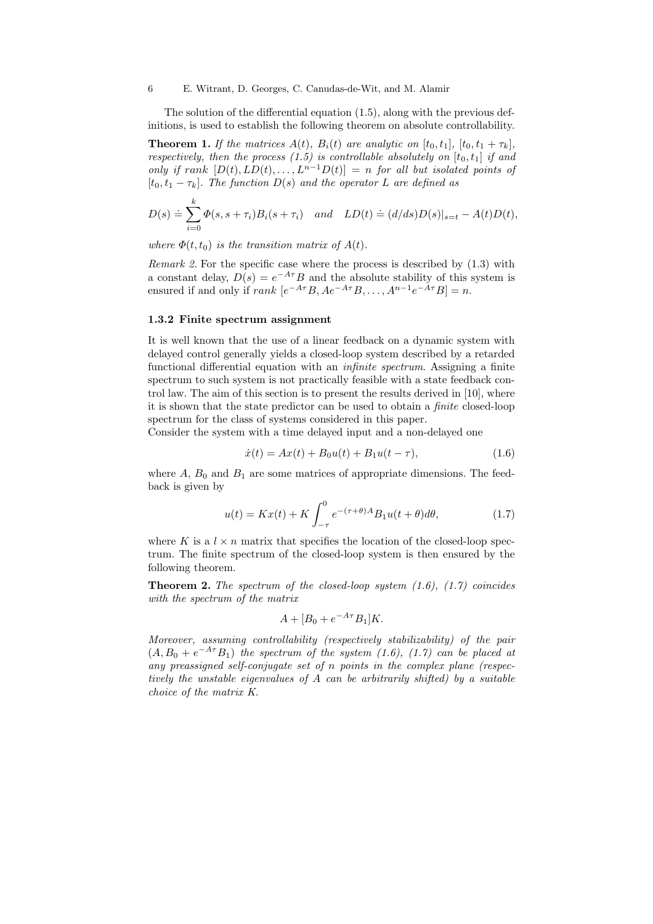6 E. Witrant, D. Georges, C. Canudas-de-Wit, and M. Alamir

The solution of the differential equation (1.5), along with the previous definitions, is used to establish the following theorem on absolute controllability.

**Theorem 1.** If the matrices  $A(t)$ ,  $B_i(t)$  are analytic on  $[t_0, t_1]$ ,  $[t_0, t_1 + \tau_k]$ , respectively, then the process (1.5) is controllable absolutely on  $[t_0, t_1]$  if and only if rank  $[D(t), LD(t), \ldots, L^{n-1}D(t)] = n$  for all but isolated points of  $[t_0,t_1-\tau_k]$ . The function  $D(s)$  and the operator L are defined as

$$
D(s) \doteq \sum_{i=0}^{k} \Phi(s, s + \tau_i) B_i(s + \tau_i) \quad and \quad LD(t) \doteq (d/ds)D(s)|_{s=t} - A(t)D(t),
$$

where  $\Phi(t,t_0)$  is the transition matrix of  $A(t)$ .

Remark 2. For the specific case where the process is described by (1.3) with a constant delay,  $D(s) = e^{-A\tau}B$  and the absolute stability of this system is ensured if and only if  $rank\ [e^{-A\tau}B, Ae^{-A\tau}B, \ldots, A^{n-1}e^{-A\tau}B] = n.$ 

#### 1.3.2 Finite spectrum assignment

It is well known that the use of a linear feedback on a dynamic system with delayed control generally yields a closed-loop system described by a retarded functional differential equation with an infinite spectrum. Assigning a finite spectrum to such system is not practically feasible with a state feedback control law. The aim of this section is to present the results derived in [10], where it is shown that the state predictor can be used to obtain a finite closed-loop spectrum for the class of systems considered in this paper.

Consider the system with a time delayed input and a non-delayed one

$$
\dot{x}(t) = Ax(t) + B_0 u(t) + B_1 u(t - \tau), \tag{1.6}
$$

where  $A, B_0$  and  $B_1$  are some matrices of appropriate dimensions. The feedback is given by

$$
u(t) = Kx(t) + K \int_{-\tau}^{0} e^{-(\tau+\theta)A} B_1 u(t+\theta) d\theta,
$$
\n(1.7)

where K is a  $l \times n$  matrix that specifies the location of the closed-loop spectrum. The finite spectrum of the closed-loop system is then ensured by the following theorem.

**Theorem 2.** The spectrum of the closed-loop system  $(1.6)$ ,  $(1.7)$  coincides with the spectrum of the matrix

$$
A+[B_0+e^{-A\tau}B_1]K.
$$

Moreover, assuming controllability (respectively stabilizability) of the pair  $(A, B_0 + e^{-A\tau}B_1)$  the spectrum of the system  $(1.6)$ ,  $(1.7)$  can be placed at any preassigned self-conjugate set of n points in the complex plane (respectively the unstable eigenvalues of A can be arbitrarily shifted) by a suitable choice of the matrix K.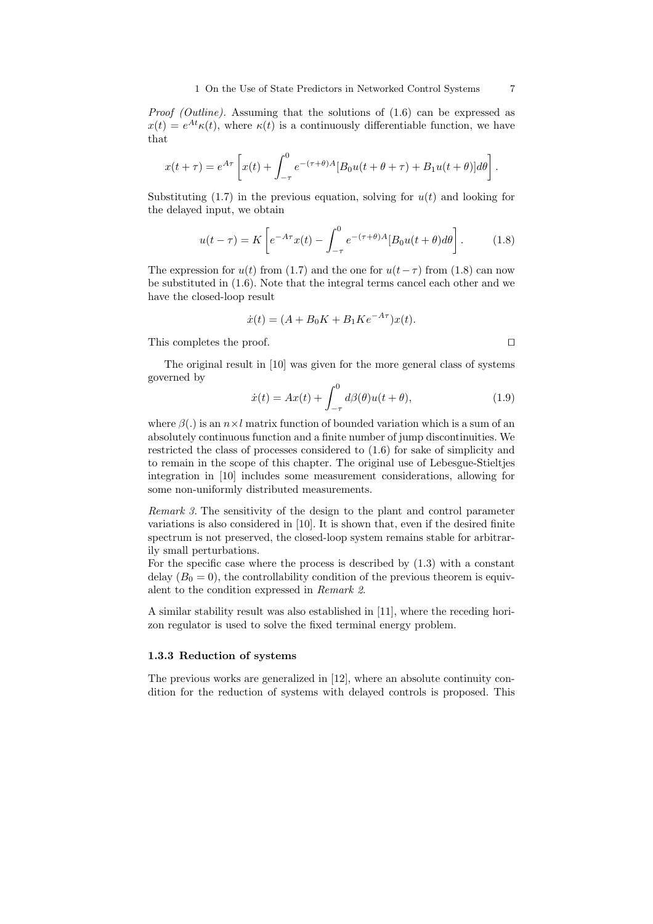#### 1 On the Use of State Predictors in Networked Control Systems 7

Proof (Outline). Assuming that the solutions of (1.6) can be expressed as  $x(t) = e^{At}\kappa(t)$ , where  $\kappa(t)$  is a continuously differentiable function, we have that

$$
x(t+\tau) = e^{A\tau} \left[ x(t) + \int_{-\tau}^0 e^{-(\tau+\theta)A} [B_0 u(t+\theta+\tau) + B_1 u(t+\theta)] d\theta \right].
$$

Substituting (1.7) in the previous equation, solving for  $u(t)$  and looking for the delayed input, we obtain

$$
u(t-\tau) = K \left[ e^{-A\tau} x(t) - \int_{-\tau}^{0} e^{-(\tau+\theta)A} [B_0 u(t+\theta) d\theta] \right].
$$
 (1.8)

The expression for  $u(t)$  from (1.7) and the one for  $u(t-\tau)$  from (1.8) can now be substituted in (1.6). Note that the integral terms cancel each other and we have the closed-loop result

$$
\dot{x}(t) = (A + B_0 K + B_1 K e^{-A\tau}) x(t).
$$

This completes the proof.  $\Box$ 

The original result in [10] was given for the more general class of systems governed by

$$
\dot{x}(t) = Ax(t) + \int_{-\tau}^{0} d\beta(\theta)u(t + \theta), \qquad (1.9)
$$

where  $\beta(.)$  is an  $n \times l$  matrix function of bounded variation which is a sum of an absolutely continuous function and a finite number of jump discontinuities. We restricted the class of processes considered to (1.6) for sake of simplicity and to remain in the scope of this chapter. The original use of Lebesgue-Stieltjes integration in [10] includes some measurement considerations, allowing for some non-uniformly distributed measurements.

Remark 3. The sensitivity of the design to the plant and control parameter variations is also considered in [10]. It is shown that, even if the desired finite spectrum is not preserved, the closed-loop system remains stable for arbitrarily small perturbations.

For the specific case where the process is described by  $(1.3)$  with a constant delay  $(B_0 = 0)$ , the controllability condition of the previous theorem is equivalent to the condition expressed in Remark 2.

A similar stability result was also established in [11], where the receding horizon regulator is used to solve the fixed terminal energy problem.

#### 1.3.3 Reduction of systems

The previous works are generalized in [12], where an absolute continuity condition for the reduction of systems with delayed controls is proposed. This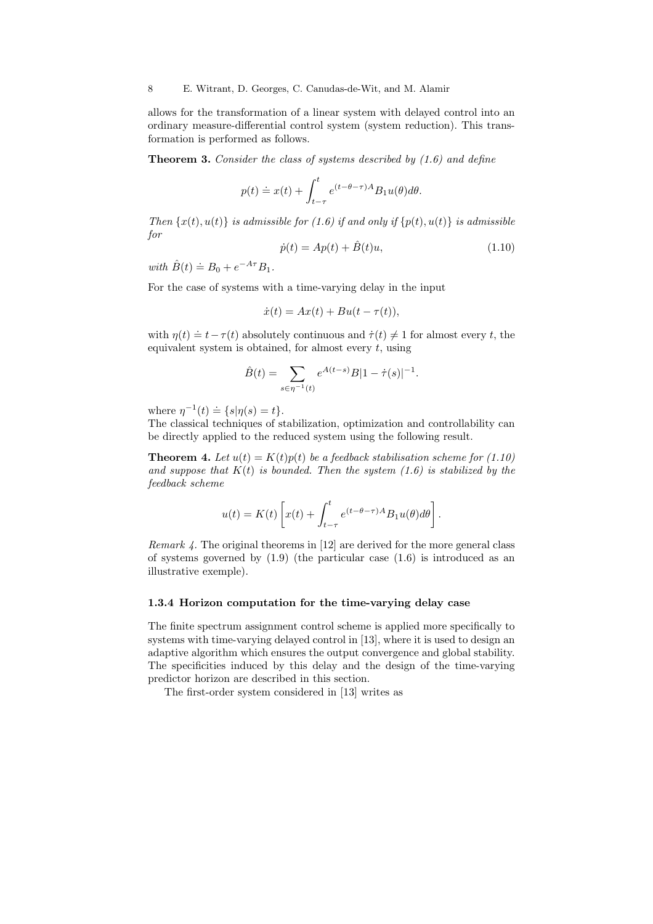allows for the transformation of a linear system with delayed control into an ordinary measure-differential control system (system reduction). This transformation is performed as follows.

**Theorem 3.** Consider the class of systems described by  $(1.6)$  and define

$$
p(t) \doteq x(t) + \int_{t-\tau}^{t} e^{(t-\theta-\tau)A} B_1 u(\theta) d\theta.
$$

Then  $\{x(t), u(t)\}\$ is admissible for (1.6) if and only if  $\{p(t), u(t)\}\$ is admissible for

$$
\dot{p}(t) = Ap(t) + \hat{B}(t)u,\tag{1.10}
$$

with  $\hat{B}(t) \doteq B_0 + e^{-A\tau} B_1$ .

For the case of systems with a time-varying delay in the input

$$
\dot{x}(t) = Ax(t) + Bu(t - \tau(t)),
$$

with  $\eta(t) \doteq t - \tau(t)$  absolutely continuous and  $\dot{\tau}(t) \neq 1$  for almost every t, the equivalent system is obtained, for almost every  $t$ , using

$$
\hat{B}(t) = \sum_{s \in \eta^{-1}(t)} e^{A(t-s)} B|1 - \dot{\tau}(s)|^{-1}.
$$

where  $\eta^{-1}(t) \doteq \{ s | \eta(s) = t \}.$ 

The classical techniques of stabilization, optimization and controllability can be directly applied to the reduced system using the following result.

**Theorem 4.** Let  $u(t) = K(t)p(t)$  be a feedback stabilisation scheme for (1.10) and suppose that  $K(t)$  is bounded. Then the system  $(1.6)$  is stabilized by the feedback scheme

$$
u(t) = K(t) \left[ x(t) + \int_{t-\tau}^t e^{(t-\theta-\tau)A} B_1 u(\theta) d\theta \right].
$$

Remark  $\ddot{4}$ . The original theorems in [12] are derived for the more general class of systems governed by  $(1.9)$  (the particular case  $(1.6)$ ) is introduced as an illustrative exemple).

#### 1.3.4 Horizon computation for the time-varying delay case

The finite spectrum assignment control scheme is applied more specifically to systems with time-varying delayed control in [13], where it is used to design an adaptive algorithm which ensures the output convergence and global stability. The specificities induced by this delay and the design of the time-varying predictor horizon are described in this section.

The first-order system considered in [13] writes as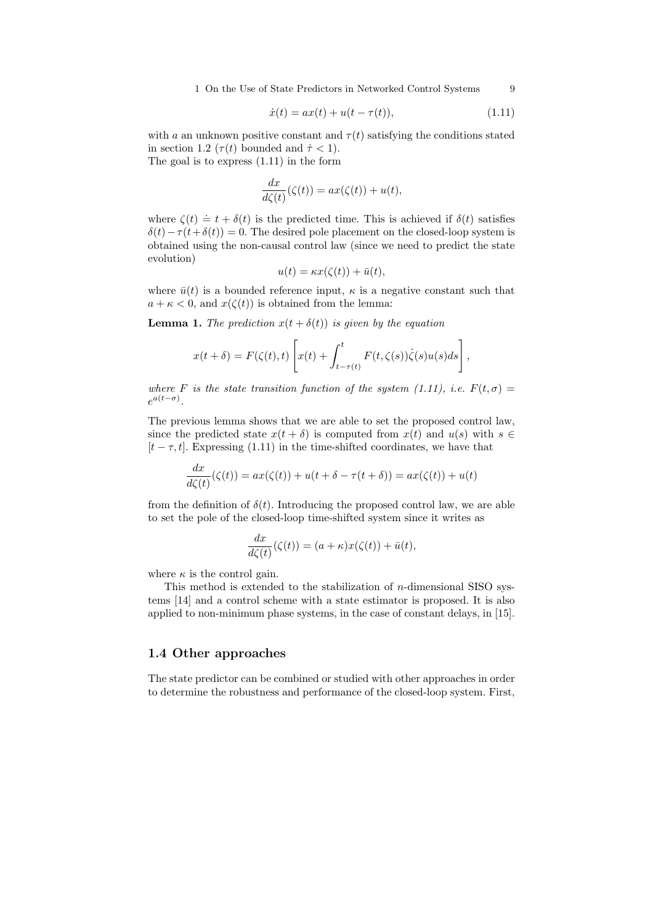1 On the Use of State Predictors in Networked Control Systems 9

$$
\dot{x}(t) = ax(t) + u(t - \tau(t)),
$$
\n(1.11)

with a an unknown positive constant and  $\tau(t)$  satisfying the conditions stated in section 1.2 ( $\tau(t)$  bounded and  $\dot{\tau} < 1$ ). The goal is to express (1.11) in the form

$$
\frac{dx}{d\zeta(t)}(\zeta(t)) = ax(\zeta(t)) + u(t),
$$

where  $\zeta(t) \doteq t + \delta(t)$  is the predicted time. This is achieved if  $\delta(t)$  satisfies  $\delta(t) - \tau(t + \delta(t)) = 0$ . The desired pole placement on the closed-loop system is obtained using the non-causal control law (since we need to predict the state evolution)

$$
u(t) = \kappa x(\zeta(t)) + \bar{u}(t),
$$

where  $\bar{u}(t)$  is a bounded reference input,  $\kappa$  is a negative constant such that  $a + \kappa < 0$ , and  $x(\zeta(t))$  is obtained from the lemma:

**Lemma 1.** The prediction  $x(t + \delta(t))$  is given by the equation

$$
x(t+\delta) = F(\zeta(t),t) \left[ x(t) + \int_{t-\tau(t)}^t F(t,\zeta(s))\dot{\zeta}(s)u(s)ds \right],
$$

where F is the state transition function of the system (1.11), i.e.  $F(t, \sigma) =$  $e^{a(t-\sigma)}$ .

The previous lemma shows that we are able to set the proposed control law, since the predicted state  $x(t + \delta)$  is computed from  $x(t)$  and  $u(s)$  with  $s \in$  $[t - \tau, t]$ . Expressing (1.11) in the time-shifted coordinates, we have that

$$
\frac{dx}{d\zeta(t)}(\zeta(t)) = ax(\zeta(t)) + u(t + \delta - \tau(t + \delta)) = ax(\zeta(t)) + u(t)
$$

from the definition of  $\delta(t)$ . Introducing the proposed control law, we are able to set the pole of the closed-loop time-shifted system since it writes as

$$
\frac{dx}{d\zeta(t)}(\zeta(t)) = (a+\kappa)x(\zeta(t)) + \bar{u}(t),
$$

where  $\kappa$  is the control gain.

This method is extended to the stabilization of  $n$ -dimensional SISO systems [14] and a control scheme with a state estimator is proposed. It is also applied to non-minimum phase systems, in the case of constant delays, in [15].

## 1.4 Other approaches

The state predictor can be combined or studied with other approaches in order to determine the robustness and performance of the closed-loop system. First,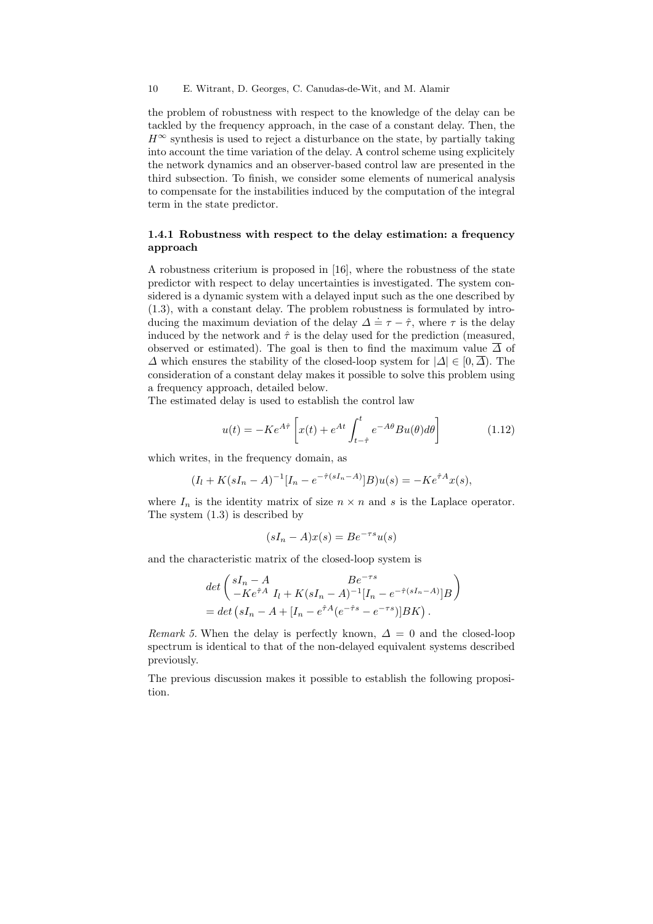the problem of robustness with respect to the knowledge of the delay can be tackled by the frequency approach, in the case of a constant delay. Then, the  $H^{\infty}$  synthesis is used to reject a disturbance on the state, by partially taking into account the time variation of the delay. A control scheme using explicitely the network dynamics and an observer-based control law are presented in the third subsection. To finish, we consider some elements of numerical analysis to compensate for the instabilities induced by the computation of the integral term in the state predictor.

#### 1.4.1 Robustness with respect to the delay estimation: a frequency approach

A robustness criterium is proposed in [16], where the robustness of the state predictor with respect to delay uncertainties is investigated. The system considered is a dynamic system with a delayed input such as the one described by (1.3), with a constant delay. The problem robustness is formulated by introducing the maximum deviation of the delay  $\Delta = \tau - \hat{\tau}$ , where  $\tau$  is the delay induced by the network and  $\hat{\tau}$  is the delay used for the prediction (measured, observed or estimated). The goal is then to find the maximum value  $\overline{\Delta}$  of  $\Delta$  which ensures the stability of the closed-loop system for  $|\Delta| \in [0, \overline{\Delta})$ . The consideration of a constant delay makes it possible to solve this problem using a frequency approach, detailed below.

The estimated delay is used to establish the control law

$$
u(t) = -Ke^{A\hat{\tau}} \left[ x(t) + e^{At} \int_{t-\hat{\tau}}^{t} e^{-A\theta} Bu(\theta) d\theta \right]
$$
 (1.12)

which writes, in the frequency domain, as

$$
(I_l + K(sI_n - A)^{-1}[I_n - e^{-\hat{\tau}(sI_n - A)}]B)u(s) = -Ke^{\hat{\tau}A}x(s),
$$

where  $I_n$  is the identity matrix of size  $n \times n$  and s is the Laplace operator. The system (1.3) is described by

$$
(sI_n - A)x(s) = Be^{-\tau s}u(s)
$$

and the characteristic matrix of the closed-loop system is

$$
\begin{aligned} & \det \left( \frac{sI_n - A}{-Ke^{\hat{\tau}A}} \frac{Be^{-\tau s}}{I_l + K(sI_n - A)^{-1}[I_n - e^{-\hat{\tau}(sI_n - A)}]B} \right) \\ & = \det \left( sI_n - A + [I_n - e^{\hat{\tau}A}(e^{-\hat{\tau}s} - e^{-\tau s})]BK \right). \end{aligned}
$$

Remark 5. When the delay is perfectly known,  $\Delta = 0$  and the closed-loop spectrum is identical to that of the non-delayed equivalent systems described previously.

The previous discussion makes it possible to establish the following proposition.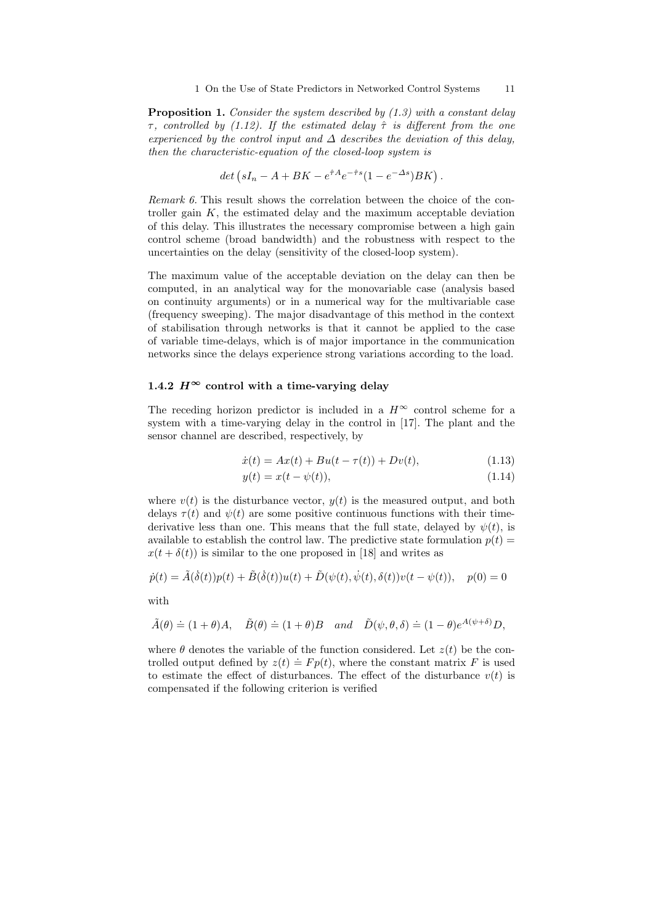**Proposition 1.** Consider the system described by  $(1.3)$  with a constant delay  $\tau$ , controlled by (1.12). If the estimated delay  $\hat{\tau}$  is different from the one experienced by the control input and  $\Delta$  describes the deviation of this delay, then the characteristic-equation of the closed-loop system is

$$
det (sI_n - A + BK - e^{\hat{\tau}A}e^{-\hat{\tau}s}(1 - e^{-\Delta s})BK).
$$

Remark 6. This result shows the correlation between the choice of the controller gain  $K$ , the estimated delay and the maximum acceptable deviation of this delay. This illustrates the necessary compromise between a high gain control scheme (broad bandwidth) and the robustness with respect to the uncertainties on the delay (sensitivity of the closed-loop system).

The maximum value of the acceptable deviation on the delay can then be computed, in an analytical way for the monovariable case (analysis based on continuity arguments) or in a numerical way for the multivariable case (frequency sweeping). The major disadvantage of this method in the context of stabilisation through networks is that it cannot be applied to the case of variable time-delays, which is of major importance in the communication networks since the delays experience strong variations according to the load.

### 1.4.2  $H^{\infty}$  control with a time-varying delay

The receding horizon predictor is included in a  $H^{\infty}$  control scheme for a system with a time-varying delay in the control in [17]. The plant and the sensor channel are described, respectively, by

$$
\dot{x}(t) = Ax(t) + Bu(t - \tau(t)) + Dv(t), \tag{1.13}
$$

$$
y(t) = x(t - \psi(t)),
$$
\n(1.14)

where  $v(t)$  is the disturbance vector,  $y(t)$  is the measured output, and both delays  $\tau(t)$  and  $\psi(t)$  are some positive continuous functions with their timederivative less than one. This means that the full state, delayed by  $\psi(t)$ , is available to establish the control law. The predictive state formulation  $p(t) =$  $x(t + \delta(t))$  is similar to the one proposed in [18] and writes as

$$
\dot{p}(t) = \tilde{A}(\dot{\delta}(t))p(t) + \tilde{B}(\dot{\delta}(t))u(t) + \tilde{D}(\psi(t), \dot{\psi}(t), \delta(t))v(t - \psi(t)), \quad p(0) = 0
$$

with

$$
\tilde{A}(\theta) \doteq (1+\theta)A, \quad \tilde{B}(\theta) \doteq (1+\theta)B \quad and \quad \tilde{D}(\psi,\theta,\delta) \doteq (1-\theta)e^{A(\psi+\delta)}D,
$$

where  $\theta$  denotes the variable of the function considered. Let  $z(t)$  be the controlled output defined by  $z(t) \doteq Fp(t)$ , where the constant matrix F is used to estimate the effect of disturbances. The effect of the disturbance  $v(t)$  is compensated if the following criterion is verified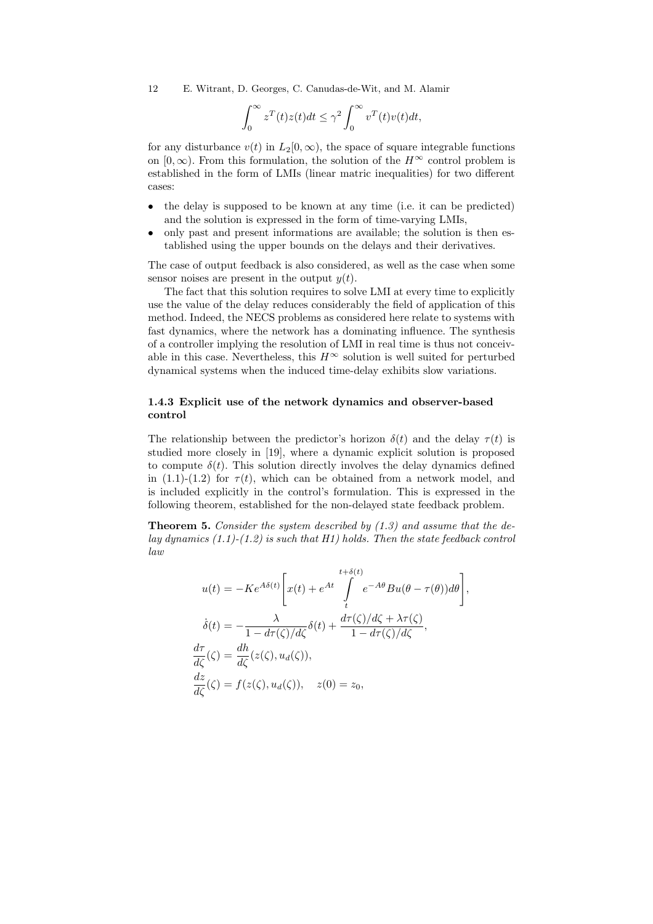12 E. Witrant, D. Georges, C. Canudas-de-Wit, and M. Alamir

$$
\int_0^\infty z^T(t)z(t)dt \le \gamma^2 \int_0^\infty v^T(t)v(t)dt,
$$

for any disturbance  $v(t)$  in  $L_2[0,\infty)$ , the space of square integrable functions on  $[0, \infty)$ . From this formulation, the solution of the  $H^{\infty}$  control problem is established in the form of LMIs (linear matric inequalities) for two different cases:

- the delay is supposed to be known at any time (i.e. it can be predicted) and the solution is expressed in the form of time-varying LMIs,
- only past and present informations are available; the solution is then established using the upper bounds on the delays and their derivatives.

The case of output feedback is also considered, as well as the case when some sensor noises are present in the output  $y(t)$ .

The fact that this solution requires to solve LMI at every time to explicitly use the value of the delay reduces considerably the field of application of this method. Indeed, the NECS problems as considered here relate to systems with fast dynamics, where the network has a dominating influence. The synthesis of a controller implying the resolution of LMI in real time is thus not conceivable in this case. Nevertheless, this  $H^{\infty}$  solution is well suited for perturbed dynamical systems when the induced time-delay exhibits slow variations.

#### 1.4.3 Explicit use of the network dynamics and observer-based control

The relationship between the predictor's horizon  $\delta(t)$  and the delay  $\tau(t)$  is studied more closely in [19], where a dynamic explicit solution is proposed to compute  $\delta(t)$ . This solution directly involves the delay dynamics defined in (1.1)-(1.2) for  $\tau(t)$ , which can be obtained from a network model, and is included explicitly in the control's formulation. This is expressed in the following theorem, established for the non-delayed state feedback problem.

**Theorem 5.** Consider the system described by  $(1.3)$  and assume that the delay dynamics  $(1.1)-(1.2)$  is such that H<sub>1</sub>) holds. Then the state feedback control law

,

$$
u(t) = -Ke^{A\delta(t)} \left[ x(t) + e^{At} \int_{t}^{t+\delta(t)} e^{-A\theta} Bu(\theta - \tau(\theta)) d\theta \right]
$$

$$
\dot{\delta}(t) = -\frac{\lambda}{1 - d\tau(\zeta)/d\zeta} \delta(t) + \frac{d\tau(\zeta)/d\zeta + \lambda\tau(\zeta)}{1 - d\tau(\zeta)/d\zeta},
$$

$$
\frac{d\tau}{d\zeta}(\zeta) = \frac{dh}{d\zeta}(z(\zeta), u_d(\zeta)),
$$

$$
\frac{dz}{d\zeta}(\zeta) = f(z(\zeta), u_d(\zeta)), \quad z(0) = z_0,
$$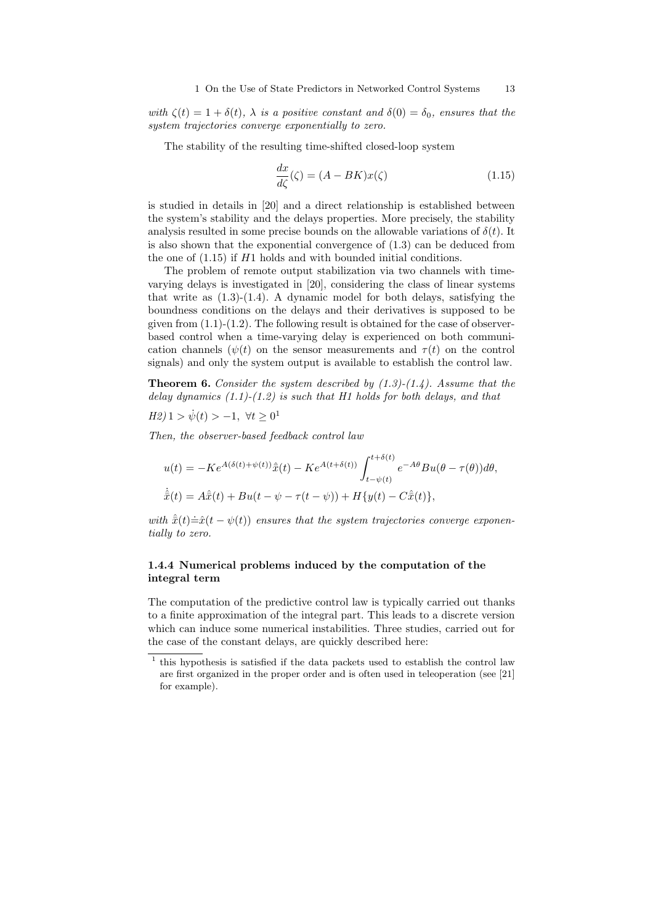with  $\zeta(t) = 1 + \delta(t)$ ,  $\lambda$  is a positive constant and  $\delta(0) = \delta_0$ , ensures that the system trajectories converge exponentially to zero.

The stability of the resulting time-shifted closed-loop system

$$
\frac{dx}{d\zeta}(\zeta) = (A - BK)x(\zeta)
$$
\n(1.15)

is studied in details in [20] and a direct relationship is established between the system's stability and the delays properties. More precisely, the stability analysis resulted in some precise bounds on the allowable variations of  $\delta(t)$ . It is also shown that the exponential convergence of (1.3) can be deduced from the one of  $(1.15)$  if  $H1$  holds and with bounded initial conditions.

The problem of remote output stabilization via two channels with timevarying delays is investigated in [20], considering the class of linear systems that write as  $(1.3)-(1.4)$ . A dynamic model for both delays, satisfying the boundness conditions on the delays and their derivatives is supposed to be given from  $(1.1)-(1.2)$ . The following result is obtained for the case of observerbased control when a time-varying delay is experienced on both communication channels ( $\psi(t)$  on the sensor measurements and  $\tau(t)$  on the control signals) and only the system output is available to establish the control law.

**Theorem 6.** Consider the system described by  $(1.3)-(1.4)$ . Assume that the delay dynamics  $(1.1)-(1.2)$  is such that H1 holds for both delays, and that

 $H2(1 > \dot{\psi}(t) > -1, \ \forall t \geq 0^1)$ 

Then, the observer-based feedback control law

$$
u(t) = -Ke^{A(\delta(t) + \psi(t))}\hat{x}(t) - Ke^{A(t+\delta(t))}\int_{t-\psi(t)}^{t+\delta(t)} e^{-A\theta}Bu(\theta - \tau(\theta))d\theta,
$$
  

$$
\dot{\hat{x}}(t) = A\hat{x}(t) + Bu(t - \psi - \tau(t - \psi)) + H\{y(t) - C\hat{x}(t)\},
$$

with  $\hat{\bar{x}}(t)=\hat{x}(t-\psi(t))$  ensures that the system trajectories converge exponentially to zero.

#### 1.4.4 Numerical problems induced by the computation of the integral term

The computation of the predictive control law is typically carried out thanks to a finite approximation of the integral part. This leads to a discrete version which can induce some numerical instabilities. Three studies, carried out for the case of the constant delays, are quickly described here:

<sup>&</sup>lt;sup>1</sup> this hypothesis is satisfied if the data packets used to establish the control law are first organized in the proper order and is often used in teleoperation (see [21] for example).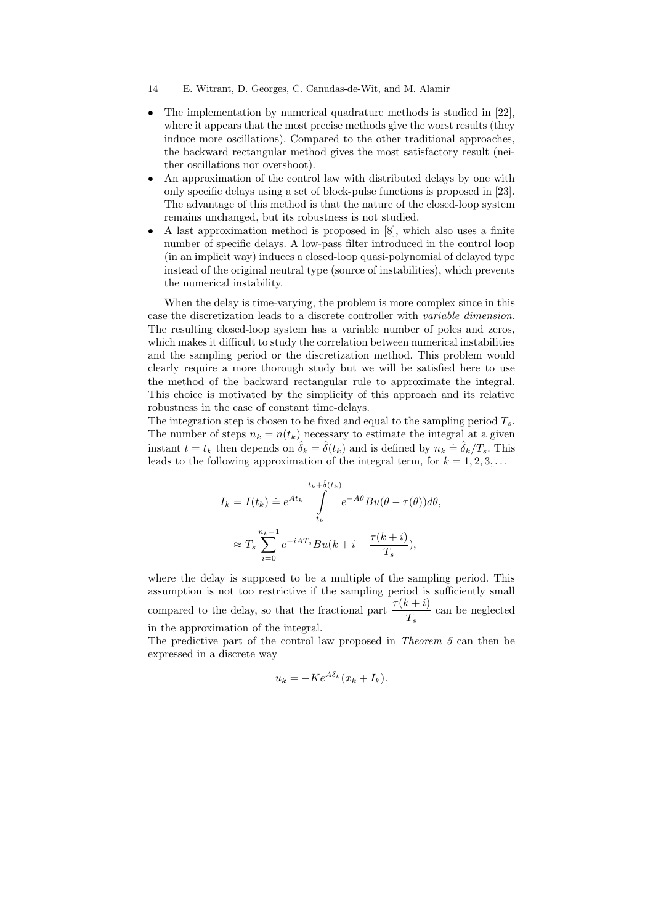- 14 E. Witrant, D. Georges, C. Canudas-de-Wit, and M. Alamir
- The implementation by numerical quadrature methods is studied in [22], where it appears that the most precise methods give the worst results (they induce more oscillations). Compared to the other traditional approaches, the backward rectangular method gives the most satisfactory result (neither oscillations nor overshoot).
- An approximation of the control law with distributed delays by one with only specific delays using a set of block-pulse functions is proposed in [23]. The advantage of this method is that the nature of the closed-loop system remains unchanged, but its robustness is not studied.
- A last approximation method is proposed in [8], which also uses a finite number of specific delays. A low-pass filter introduced in the control loop (in an implicit way) induces a closed-loop quasi-polynomial of delayed type instead of the original neutral type (source of instabilities), which prevents the numerical instability.

When the delay is time-varying, the problem is more complex since in this case the discretization leads to a discrete controller with variable dimension. The resulting closed-loop system has a variable number of poles and zeros, which makes it difficult to study the correlation between numerical instabilities and the sampling period or the discretization method. This problem would clearly require a more thorough study but we will be satisfied here to use the method of the backward rectangular rule to approximate the integral. This choice is motivated by the simplicity of this approach and its relative robustness in the case of constant time-delays.

The integration step is chosen to be fixed and equal to the sampling period  $T_s$ . The number of steps  $n_k = n(t_k)$  necessary to estimate the integral at a given instant  $t = t_k$  then depends on  $\hat{\delta}_k = \hat{\delta}(t_k)$  and is defined by  $n_k \doteq \hat{\delta}_k/T_s$ . This leads to the following approximation of the integral term, for  $k = 1, 2, 3, \ldots$ 

$$
I_k = I(t_k) \doteq e^{At_k} \int_{t_k}^{t_k + \hat{\delta}(t_k)} e^{-A\theta} Bu(\theta - \tau(\theta)) d\theta,
$$
  

$$
\approx T_s \sum_{i=0}^{n_k - 1} e^{-iAT_s} Bu(k + i - \frac{\tau(k + i)}{T_s}),
$$

where the delay is supposed to be a multiple of the sampling period. This assumption is not too restrictive if the sampling period is sufficiently small compared to the delay, so that the fractional part  $\frac{\tau(k+i)}{\tau(k+i)}$  $\frac{v+v}{T_s}$  can be neglected in the approximation of the integral.

The predictive part of the control law proposed in Theorem 5 can then be expressed in a discrete way

$$
u_k = -Ke^{A\delta_k}(x_k + I_k).
$$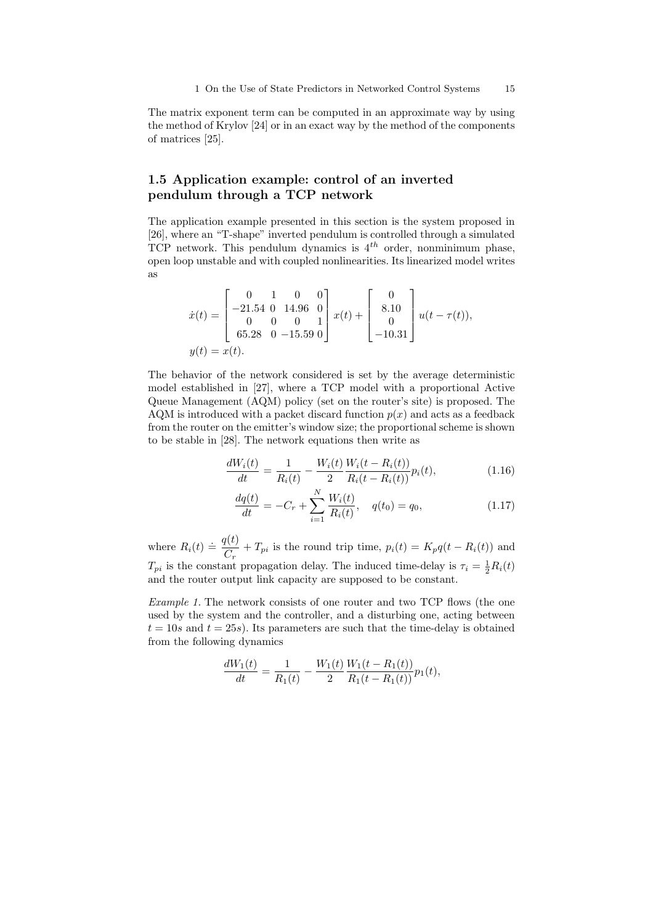The matrix exponent term can be computed in an approximate way by using the method of Krylov [24] or in an exact way by the method of the components of matrices [25].

## 1.5 Application example: control of an inverted pendulum through a TCP network

The application example presented in this section is the system proposed in [26], where an "T-shape" inverted pendulum is controlled through a simulated TCP network. This pendulum dynamics is  $4<sup>th</sup>$  order, nonminimum phase, open loop unstable and with coupled nonlinearities. Its linearized model writes as

$$
\dot{x}(t) = \begin{bmatrix} 0 & 1 & 0 & 0 \\ -21.54 & 0 & 14.96 & 0 \\ 0 & 0 & 0 & 1 \\ 65.28 & 0 & -15.59 & 0 \end{bmatrix} x(t) + \begin{bmatrix} 0 \\ 8.10 \\ 0 \\ -10.31 \end{bmatrix} u(t - \tau(t)),
$$

$$
y(t) = x(t).
$$

The behavior of the network considered is set by the average deterministic model established in [27], where a TCP model with a proportional Active Queue Management (AQM) policy (set on the router's site) is proposed. The AQM is introduced with a packet discard function  $p(x)$  and acts as a feedback from the router on the emitter's window size; the proportional scheme is shown to be stable in [28]. The network equations then write as

$$
\frac{dW_i(t)}{dt} = \frac{1}{R_i(t)} - \frac{W_i(t)}{2} \frac{W_i(t - R_i(t))}{R_i(t - R_i(t))} p_i(t),
$$
\n(1.16)

$$
\frac{dq(t)}{dt} = -C_r + \sum_{i=1}^{N} \frac{W_i(t)}{R_i(t)}, \quad q(t_0) = q_0,
$$
\n(1.17)

where  $R_i(t) \doteq \frac{q(t)}{C}$  $\frac{P(t^{(0)})}{C_r} + T_{pi}$  is the round trip time,  $p_i(t) = K_p q(t - R_i(t))$  and  $T_{pi}$  is the constant propagation delay. The induced time-delay is  $\tau_i = \frac{1}{2}R_i(t)$ and the router output link capacity are supposed to be constant.

Example 1. The network consists of one router and two TCP flows (the one used by the system and the controller, and a disturbing one, acting between  $t = 10s$  and  $t = 25s$ ). Its parameters are such that the time-delay is obtained from the following dynamics

$$
\frac{dW_1(t)}{dt} = \frac{1}{R_1(t)} - \frac{W_1(t)}{2} \frac{W_1(t - R_1(t))}{R_1(t - R_1(t))} p_1(t),
$$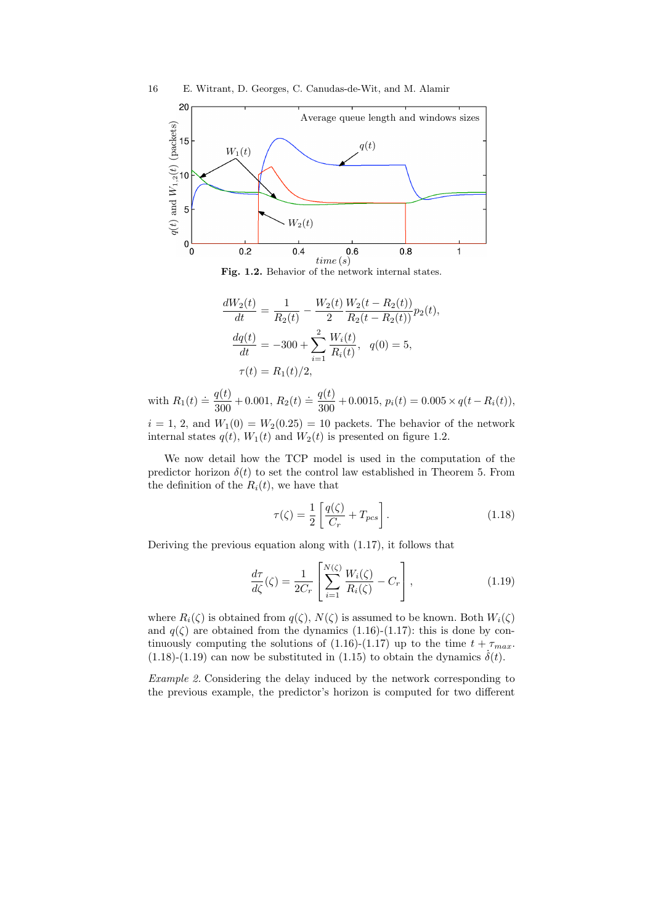

Fig. 1.2. Behavior of the network internal states.

$$
\frac{dW_2(t)}{dt} = \frac{1}{R_2(t)} - \frac{W_2(t)}{2} \frac{W_2(t - R_2(t))}{R_2(t - R_2(t))} p_2(t),
$$

$$
\frac{dq(t)}{dt} = -300 + \sum_{i=1}^{2} \frac{W_i(t)}{R_i(t)}, \quad q(0) = 5,
$$

$$
\tau(t) = R_1(t)/2,
$$

with  $R_1(t) \doteq \frac{q(t)}{200}$  $\frac{q(t)}{300} + 0.001, R_2(t) \doteq \frac{q(t)}{300}$  $\frac{q(t)}{300} + 0.0015$ ,  $p_i(t) = 0.005 \times q(t - R_i(t)),$ 

 $i = 1, 2$ , and  $W_1(0) = W_2(0.25) = 10$  packets. The behavior of the network internal states  $q(t)$ ,  $W_1(t)$  and  $W_2(t)$  is presented on figure 1.2.

We now detail how the TCP model is used in the computation of the predictor horizon  $\delta(t)$  to set the control law established in Theorem 5. From the definition of the  $R_i(t)$ , we have that

$$
\tau(\zeta) = \frac{1}{2} \left[ \frac{q(\zeta)}{C_r} + T_{pcs} \right]. \tag{1.18}
$$

Deriving the previous equation along with (1.17), it follows that

$$
\frac{d\tau}{d\zeta}(\zeta) = \frac{1}{2C_r} \left[ \sum_{i=1}^{N(\zeta)} \frac{W_i(\zeta)}{R_i(\zeta)} - C_r \right],\tag{1.19}
$$

where  $R_i(\zeta)$  is obtained from  $q(\zeta)$ ,  $N(\zeta)$  is assumed to be known. Both  $W_i(\zeta)$ and  $q(\zeta)$  are obtained from the dynamics (1.16)-(1.17): this is done by continuously computing the solutions of (1.16)-(1.17) up to the time  $t + \tau_{max}$ . (1.18)-(1.19) can now be substituted in (1.15) to obtain the dynamics  $\dot{\delta}(t)$ .

Example 2. Considering the delay induced by the network corresponding to the previous example, the predictor's horizon is computed for two different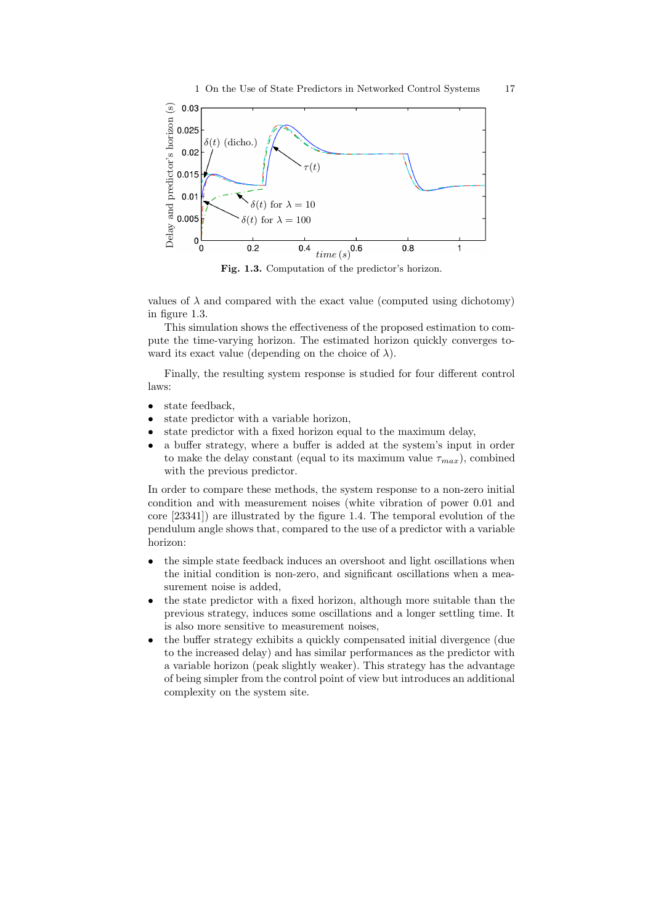

Fig. 1.3. Computation of the predictor's horizon.

values of  $\lambda$  and compared with the exact value (computed using dichotomy) in figure 1.3.

This simulation shows the effectiveness of the proposed estimation to compute the time-varying horizon. The estimated horizon quickly converges toward its exact value (depending on the choice of  $\lambda$ ).

Finally, the resulting system response is studied for four different control laws:

- state feedback,
- state predictor with a variable horizon,
- state predictor with a fixed horizon equal to the maximum delay,
- a buffer strategy, where a buffer is added at the system's input in order to make the delay constant (equal to its maximum value  $\tau_{max}$ ), combined with the previous predictor.

In order to compare these methods, the system response to a non-zero initial condition and with measurement noises (white vibration of power 0.01 and core [23341]) are illustrated by the figure 1.4. The temporal evolution of the pendulum angle shows that, compared to the use of a predictor with a variable horizon:

- the simple state feedback induces an overshoot and light oscillations when the initial condition is non-zero, and significant oscillations when a measurement noise is added,
- the state predictor with a fixed horizon, although more suitable than the previous strategy, induces some oscillations and a longer settling time. It is also more sensitive to measurement noises,
- the buffer strategy exhibits a quickly compensated initial divergence (due to the increased delay) and has similar performances as the predictor with a variable horizon (peak slightly weaker). This strategy has the advantage of being simpler from the control point of view but introduces an additional complexity on the system site.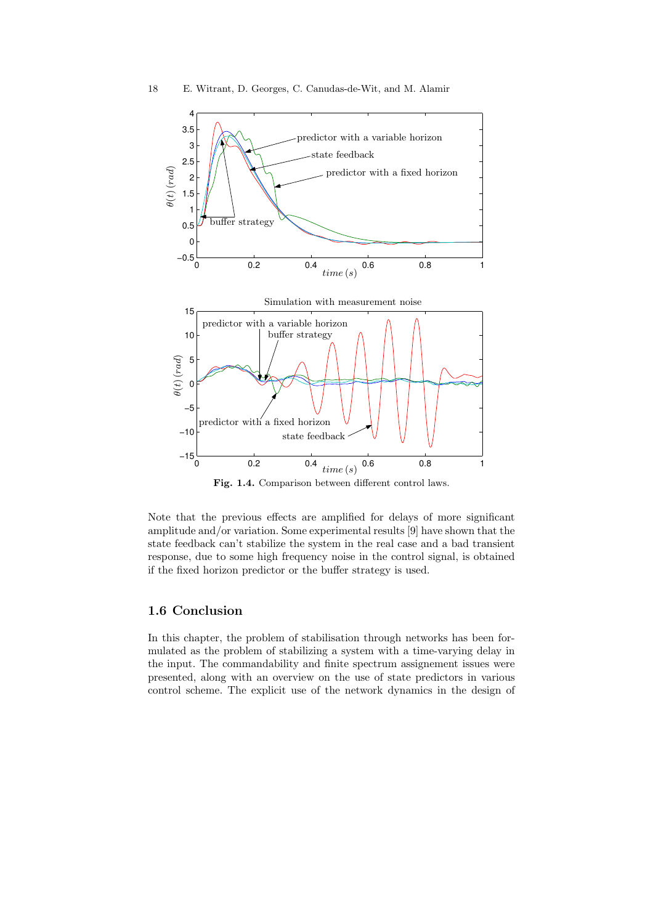

Fig. 1.4. Comparison between different control laws.

Note that the previous effects are amplified for delays of more significant amplitude and/or variation. Some experimental results [9] have shown that the state feedback can't stabilize the system in the real case and a bad transient response, due to some high frequency noise in the control signal, is obtained if the fixed horizon predictor or the buffer strategy is used.

## 1.6 Conclusion

In this chapter, the problem of stabilisation through networks has been formulated as the problem of stabilizing a system with a time-varying delay in the input. The commandability and finite spectrum assignement issues were presented, along with an overview on the use of state predictors in various control scheme. The explicit use of the network dynamics in the design of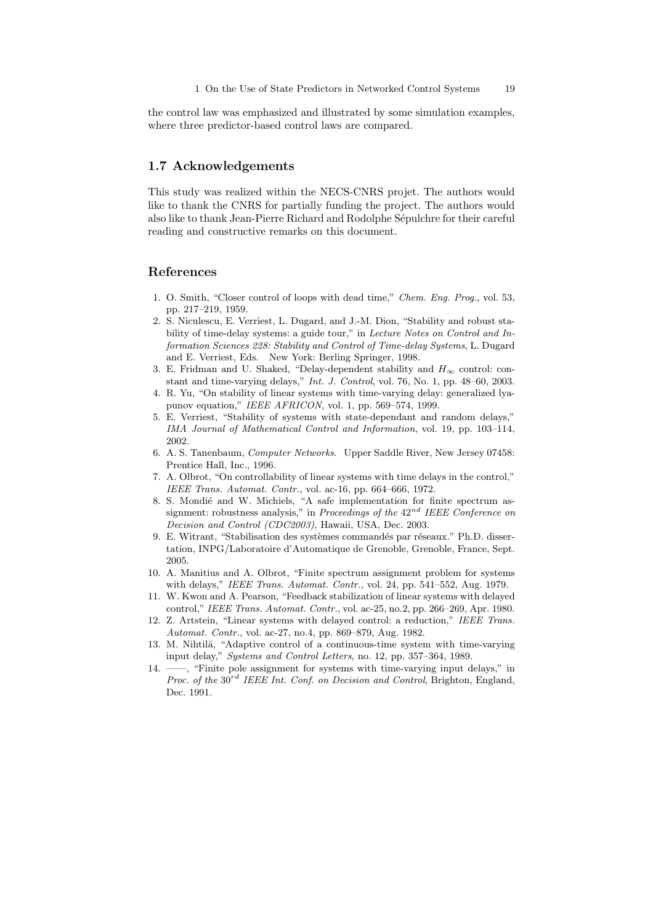the control law was emphasized and illustrated by some simulation examples, where three predictor-based control laws are compared.

#### 1.7 Acknowledgements

This study was realized within the NECS-CNRS projet. The authors would like to thank the CNRS for partially funding the project. The authors would also like to thank Jean-Pierre Richard and Rodolphe Sépulchre for their careful reading and constructive remarks on this document.

## References

- 1. O. Smith, "Closer control of loops with dead time," Chem. Eng. Prog., vol. 53, pp. 217–219, 1959.
- 2. S. Niculescu, E. Verriest, L. Dugard, and J.-M. Dion, "Stability and robust stability of time-delay systems: a guide tour," in *Lecture Notes on Control and In*formation Sciences 228: Stability and Control of Time-delay Systems, L. Dugard and E. Verriest, Eds. New York: Berling Springer, 1998.
- 3. E. Fridman and U. Shaked, "Delay-dependent stability and  $H_{\infty}$  control: constant and time-varying delays," Int. J. Control, vol. 76, No. 1, pp. 48–60, 2003.
- 4. R. Yu, "On stability of linear systems with time-varying delay: generalized lyapunov equation," IEEE AFRICON, vol. 1, pp. 569–574, 1999.
- 5. E. Verriest, "Stability of systems with state-dependant and random delays," IMA Journal of Mathematical Control and Information, vol. 19, pp. 103–114, 2002.
- 6. A. S. Tanenbaum, Computer Networks. Upper Saddle River, New Jersey 07458: Prentice Hall, Inc., 1996.
- 7. A. Olbrot, "On controllability of linear systems with time delays in the control," IEEE Trans. Automat. Contr., vol. ac-16, pp. 664–666, 1972.
- 8. S. Mondié and W. Michiels, "A safe implementation for finite spectrum assignment: robustness analysis," in Proceedings of the  $42^{nd}$  IEEE Conference on Decision and Control (CDC2003), Hawaii, USA, Dec. 2003.
- 9. E. Witrant, "Stabilisation des systèmes commandés par réseaux." Ph.D. dissertation, INPG/Laboratoire d'Automatique de Grenoble, Grenoble, France, Sept. 2005.
- 10. A. Manitius and A. Olbrot, "Finite spectrum assignment problem for systems with delays," IEEE Trans. Automat. Contr., vol. 24, pp. 541–552, Aug. 1979.
- 11. W. Kwon and A. Pearson, "Feedback stabilization of linear systems with delayed control," IEEE Trans. Automat. Contr., vol. ac-25, no.2, pp. 266–269, Apr. 1980.
- 12. Z. Artstein, "Linear systems with delayed control: a reduction," IEEE Trans. Automat. Contr., vol. ac-27, no.4, pp. 869–879, Aug. 1982.
- 13. M. Nihtilä, "Adaptive control of a continuous-time system with time-varying input delay," Systems and Control Letters, no. 12, pp. 357–364, 1989.
- 14. ——, "Finite pole assignment for systems with time-varying input delays," in *Proc.* of the  $30^{rd}$  IEEE Int. Conf. on Decision and Control, Brighton, England, Dec. 1991.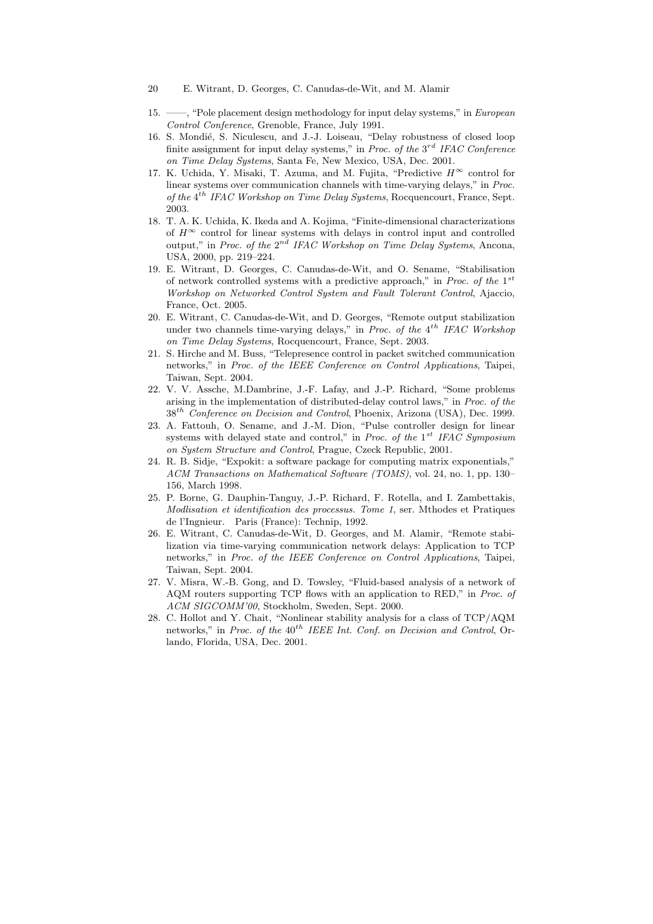- 20 E. Witrant, D. Georges, C. Canudas-de-Wit, and M. Alamir
- 15. ——, "Pole placement design methodology for input delay systems," in European Control Conference, Grenoble, France, July 1991.
- 16. S. Mondié, S. Niculescu, and J.-J. Loiseau, "Delay robustness of closed loop finite assignment for input delay systems," in *Proc. of the*  $3^{rd}$  IFAC Conference on Time Delay Systems, Santa Fe, New Mexico, USA, Dec. 2001.
- 17. K. Uchida, Y. Misaki, T. Azuma, and M. Fujita, "Predictive  $H^{\infty}$  control for linear systems over communication channels with time-varying delays," in Proc. of the  $4^{th}$  IFAC Workshop on Time Delay Systems, Rocquencourt, France, Sept. 2003.
- 18. T. A. K. Uchida, K. Ikeda and A. Kojima, "Finite-dimensional characterizations of  $H^{\infty}$  control for linear systems with delays in control input and controlled output," in Proc. of the  $2^{nd}$  IFAC Workshop on Time Delay Systems, Ancona, USA, 2000, pp. 219–224.
- 19. E. Witrant, D. Georges, C. Canudas-de-Wit, and O. Sename, "Stabilisation of network controlled systems with a predictive approach," in Proc. of the  $1^{st}$ Workshop on Networked Control System and Fault Tolerant Control, Ajaccio, France, Oct. 2005.
- 20. E. Witrant, C. Canudas-de-Wit, and D. Georges, "Remote output stabilization under two channels time-varying delays," in *Proc. of the*  $4^{th}$  IFAC Workshop on Time Delay Systems, Rocquencourt, France, Sept. 2003.
- 21. S. Hirche and M. Buss, "Telepresence control in packet switched communication networks," in Proc. of the IEEE Conference on Control Applications, Taipei, Taiwan, Sept. 2004.
- 22. V. V. Assche, M.Dambrine, J.-F. Lafay, and J.-P. Richard, "Some problems arising in the implementation of distributed-delay control laws," in Proc. of the  $38<sup>th</sup>$  Conference on Decision and Control, Phoenix, Arizona (USA), Dec. 1999.
- 23. A. Fattouh, O. Sename, and J.-M. Dion, "Pulse controller design for linear systems with delayed state and control," in Proc. of the  $1^{st}$  IFAC Symposium on System Structure and Control, Prague, Czeck Republic, 2001.
- 24. R. B. Sidje, "Expokit: a software package for computing matrix exponentials," ACM Transactions on Mathematical Software (TOMS), vol. 24, no. 1, pp. 130– 156, March 1998.
- 25. P. Borne, G. Dauphin-Tanguy, J.-P. Richard, F. Rotella, and I. Zambettakis, Modlisation et identification des processus. Tome 1, ser. Mthodes et Pratiques de l'Ingnieur. Paris (France): Technip, 1992.
- 26. E. Witrant, C. Canudas-de-Wit, D. Georges, and M. Alamir, "Remote stabilization via time-varying communication network delays: Application to TCP networks," in Proc. of the IEEE Conference on Control Applications, Taipei, Taiwan, Sept. 2004.
- 27. V. Misra, W.-B. Gong, and D. Towsley, "Fluid-based analysis of a network of AQM routers supporting TCP flows with an application to RED," in Proc. of ACM SIGCOMM'00, Stockholm, Sweden, Sept. 2000.
- 28. C. Hollot and Y. Chait, "Nonlinear stability analysis for a class of TCP/AQM networks," in Proc. of the  $40^{th}$  IEEE Int. Conf. on Decision and Control, Orlando, Florida, USA, Dec. 2001.